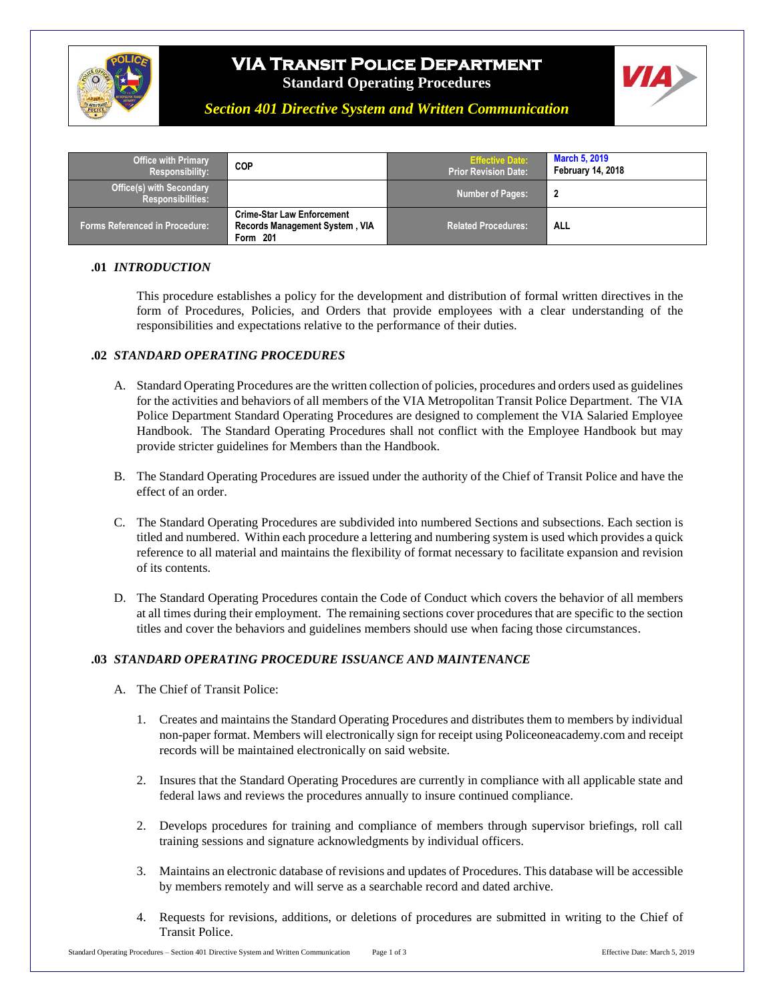

# **VIA Transit Police Department Standard Operating Procedures**



*Section 401 Directive System and Written Communication*

| <b>Office with Primary</b><br>Responsibility:               | <b>COP</b>                                                                             | <b>Effective Date:</b><br><b>Prior Revision Date:</b> | <b>March 5, 2019</b><br><b>February 14, 2018</b> |
|-------------------------------------------------------------|----------------------------------------------------------------------------------------|-------------------------------------------------------|--------------------------------------------------|
| <b>Office(s) with Secondary</b><br><b>Responsibilities:</b> |                                                                                        | <b>Number of Pages:</b>                               |                                                  |
| <b>Forms Referenced in Procedure:</b>                       | <b>Crime-Star Law Enforcement</b><br><b>Records Management System, VIA</b><br>Form 201 | <b>Related Procedures:</b>                            | ALL                                              |

### **.01** *INTRODUCTION*

This procedure establishes a policy for the development and distribution of formal written directives in the form of Procedures, Policies, and Orders that provide employees with a clear understanding of the responsibilities and expectations relative to the performance of their duties.

#### **.02** *STANDARD OPERATING PROCEDURES*

- A. Standard Operating Procedures are the written collection of policies, procedures and orders used as guidelines for the activities and behaviors of all members of the VIA Metropolitan Transit Police Department. The VIA Police Department Standard Operating Procedures are designed to complement the VIA Salaried Employee Handbook. The Standard Operating Procedures shall not conflict with the Employee Handbook but may provide stricter guidelines for Members than the Handbook.
- B. The Standard Operating Procedures are issued under the authority of the Chief of Transit Police and have the effect of an order.
- C. The Standard Operating Procedures are subdivided into numbered Sections and subsections. Each section is titled and numbered. Within each procedure a lettering and numbering system is used which provides a quick reference to all material and maintains the flexibility of format necessary to facilitate expansion and revision of its contents.
- D. The Standard Operating Procedures contain the Code of Conduct which covers the behavior of all members at all times during their employment. The remaining sections cover procedures that are specific to the section titles and cover the behaviors and guidelines members should use when facing those circumstances.

### **.03** *STANDARD OPERATING PROCEDURE ISSUANCE AND MAINTENANCE*

- A. The Chief of Transit Police:
	- 1. Creates and maintains the Standard Operating Procedures and distributes them to members by individual non-paper format. Members will electronically sign for receipt using Policeoneacademy.com and receipt records will be maintained electronically on said website.
	- 2. Insures that the Standard Operating Procedures are currently in compliance with all applicable state and federal laws and reviews the procedures annually to insure continued compliance.
	- 2. Develops procedures for training and compliance of members through supervisor briefings, roll call training sessions and signature acknowledgments by individual officers.
	- 3. Maintains an electronic database of revisions and updates of Procedures. This database will be accessible by members remotely and will serve as a searchable record and dated archive.
	- 4. Requests for revisions, additions, or deletions of procedures are submitted in writing to the Chief of Transit Police.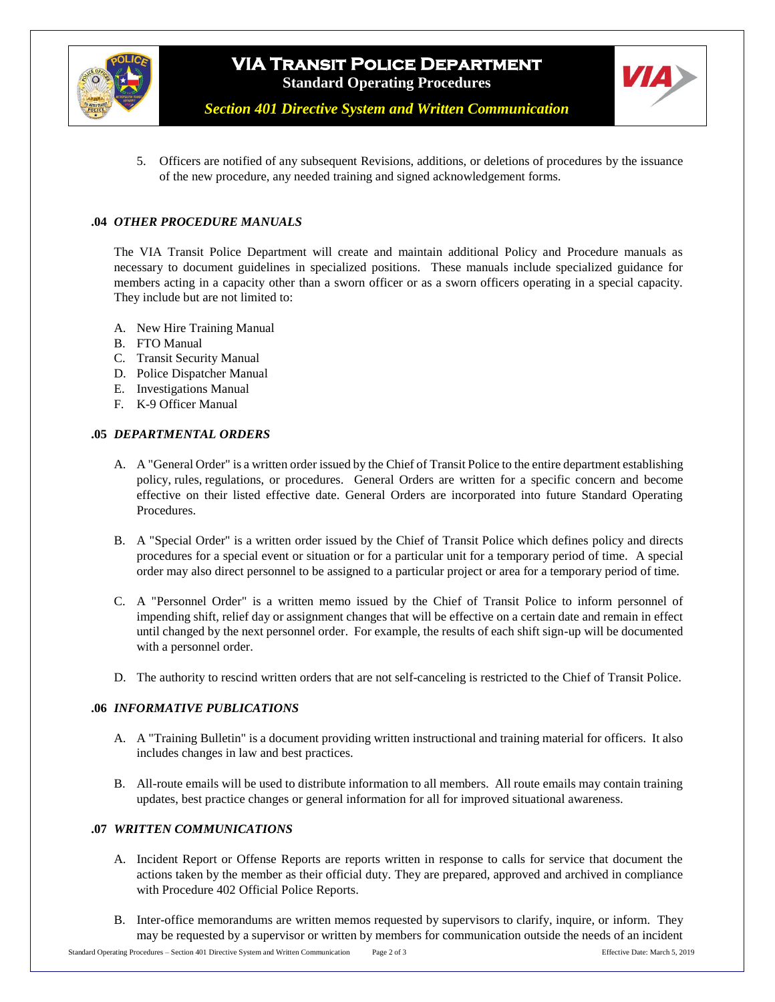

# **VIA Transit Police Department Standard Operating Procedures**



*Section 401 Directive System and Written Communication*

5. Officers are notified of any subsequent Revisions, additions, or deletions of procedures by the issuance of the new procedure, any needed training and signed acknowledgement forms.

### **.04** *OTHER PROCEDURE MANUALS*

The VIA Transit Police Department will create and maintain additional Policy and Procedure manuals as necessary to document guidelines in specialized positions. These manuals include specialized guidance for members acting in a capacity other than a sworn officer or as a sworn officers operating in a special capacity. They include but are not limited to:

- A. New Hire Training Manual
- B. FTO Manual
- C. Transit Security Manual
- D. Police Dispatcher Manual
- E. Investigations Manual
- F. K-9 Officer Manual

#### **.05** *DEPARTMENTAL ORDERS*

- A. A "General Order" is a written order issued by the Chief of Transit Police to the entire department establishing policy, rules, regulations, or procedures. General Orders are written for a specific concern and become effective on their listed effective date. General Orders are incorporated into future Standard Operating Procedures.
- B. A "Special Order" is a written order issued by the Chief of Transit Police which defines policy and directs procedures for a special event or situation or for a particular unit for a temporary period of time. A special order may also direct personnel to be assigned to a particular project or area for a temporary period of time.
- C. A "Personnel Order" is a written memo issued by the Chief of Transit Police to inform personnel of impending shift, relief day or assignment changes that will be effective on a certain date and remain in effect until changed by the next personnel order. For example, the results of each shift sign-up will be documented with a personnel order.
- D. The authority to rescind written orders that are not self-canceling is restricted to the Chief of Transit Police.

#### **.06** *INFORMATIVE PUBLICATIONS*

- A. A "Training Bulletin" is a document providing written instructional and training material for officers. It also includes changes in law and best practices.
- B. All-route emails will be used to distribute information to all members. All route emails may contain training updates, best practice changes or general information for all for improved situational awareness.

### **.07** *WRITTEN COMMUNICATIONS*

- A. Incident Report or Offense Reports are reports written in response to calls for service that document the actions taken by the member as their official duty. They are prepared, approved and archived in compliance with Procedure 402 Official Police Reports.
- B. Inter-office memorandums are written memos requested by supervisors to clarify, inquire, or inform. They may be requested by a supervisor or written by members for communication outside the needs of an incident